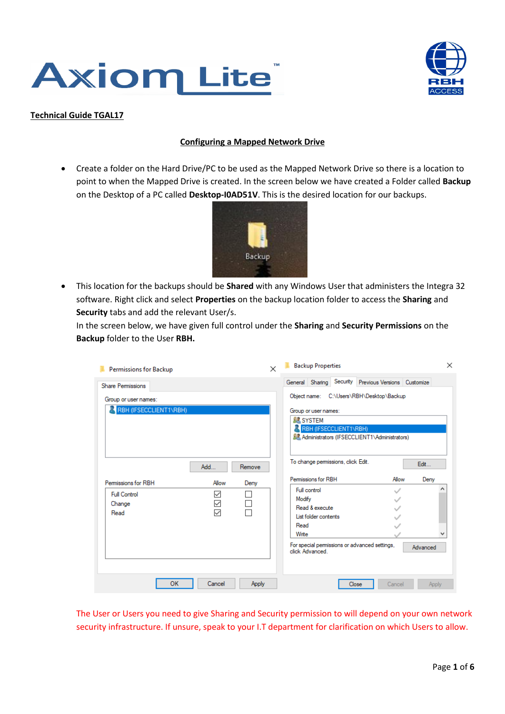



## **Technical Guide TGAL17**

## **Configuring a Mapped Network Drive**

• Create a folder on the Hard Drive/PC to be used as the Mapped Network Drive so there is a location to point to when the Mapped Drive is created. In the screen below we have created a Folder called **Backup**  on the Desktop of a PC called **Desktop-I0AD51V**. This is the desired location for our backups.



• This location for the backups should be **Shared** with any Windows User that administers the Integra 32 software. Right click and select **Properties** on the backup location folder to access the **Sharing** and **Security** tabs and add the relevant User/s.

In the screen below, we have given full control under the **Sharing** and **Security Permissions** on the **Backup** folder to the User **RBH.** 

| Permissions for Backup |              | ×      | <b>Backup Properties</b>                                                         |       |        | $\times$ |
|------------------------|--------------|--------|----------------------------------------------------------------------------------|-------|--------|----------|
| Share Permissions      |              |        | General Sharing Security Previous Versions Customize                             |       |        |          |
| Group or user names:   |              |        | Object name: C:\Users\RBH\Desktop\Backup                                         |       |        |          |
| RBH (IFSECCLIENT1\RBH) |              |        | Group or user names:<br><b>SE SYSTEM</b>                                         |       |        |          |
|                        |              |        | RBH (IFSECCLIENT1\RBH)<br><b>SZ</b> Administrators (IFSECCLIENT1\Administrators) |       |        |          |
|                        | Add          | Remove | To change permissions, click Edit.                                               |       |        | Edit     |
| Permissions for RBH    | Allow        | Deny   | Permissions for RBH                                                              |       | Allow  | Deny     |
| <b>Full Control</b>    | ✓            |        | Full control                                                                     |       |        | ́        |
| Change                 | $\checkmark$ |        | Modify<br>Read & execute                                                         |       |        |          |
| Read                   | $\checkmark$ |        | List folder contents                                                             |       |        |          |
|                        |              |        | Read                                                                             |       |        |          |
|                        |              |        | Write                                                                            |       |        | v        |
|                        |              |        | For special permissions or advanced settings,<br>click Advanced                  |       |        | Advanced |
| <b>OK</b>              | Cancel       | Apply  |                                                                                  | Close | Cancel | Apply    |

The User or Users you need to give Sharing and Security permission to will depend on your own network security infrastructure. If unsure, speak to your I.T department for clarification on which Users to allow.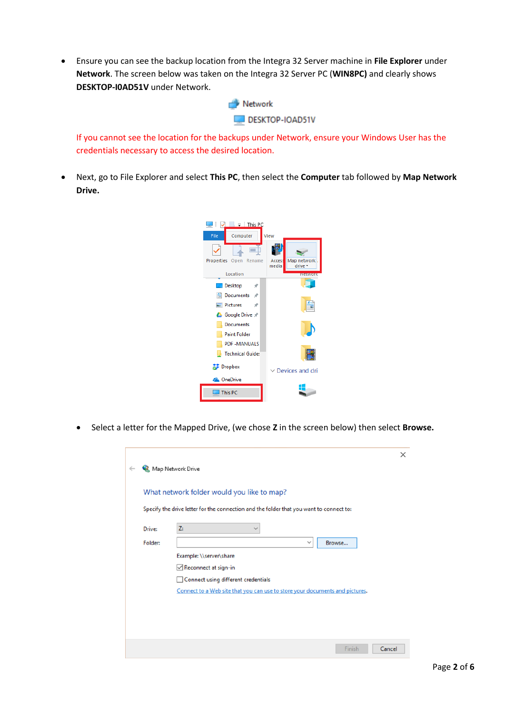• Ensure you can see the backup location from the Integra 32 Server machine in **File Explorer** under **Network**. The screen below was taken on the Integra 32 Server PC (**WIN8PC)** and clearly shows **DESKTOP-I0AD51V** under Network.



If you cannot see the location for the backups under Network, ensure your Windows User has the credentials necessary to access the desired location.

• Next, go to File Explorer and select **This PC**, then select the **Computer** tab followed by **Map Network Drive.**



• Select a letter for the Mapped Drive, (we chose **Z** in the screen below) then select **Browse.**

| $\leftarrow$ | ×<br>Map Network Drive                                                                  |
|--------------|-----------------------------------------------------------------------------------------|
|              | What network folder would you like to map?                                              |
|              | Specify the drive letter for the connection and the folder that you want to connect to: |
| Drive:       | Z:                                                                                      |
| Folder:      | Browse<br>$\checkmark$                                                                  |
|              | Example: \\server\share<br>Reconnect at sign-in                                         |
|              | Connect using different credentials                                                     |
|              | Connect to a Web site that you can use to store your documents and pictures.            |
|              |                                                                                         |
|              |                                                                                         |
|              | Finish<br>Cancel                                                                        |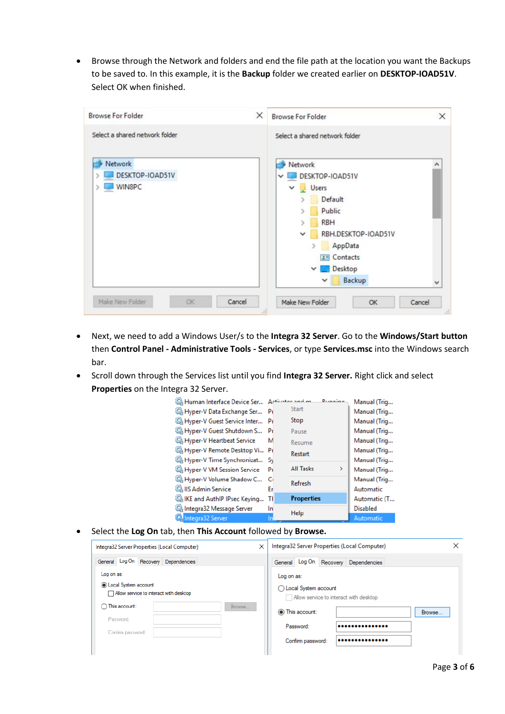• Browse through the Network and folders and end the file path at the location you want the Backups to be saved to. In this example, it is the **Backup** folder we created earlier on **DESKTOP-IOAD51V**. Select OK when finished.

| <b>Browse For Folder</b>                                                      | ×<br>×<br><b>Browse For Folder</b>                                                                                                                                                                       |
|-------------------------------------------------------------------------------|----------------------------------------------------------------------------------------------------------------------------------------------------------------------------------------------------------|
| Select a shared network folder<br><b>Network</b><br>DESKTOP-IOAD51V<br>WIN8PC | Select a shared network folder<br>Network<br>^<br>DESKTOP-IOAD51V<br>$\checkmark$<br>$\vee$ Users<br>Default<br>Public<br><b>RBH</b><br>RBH.DESKTOP-IOAD51V<br>$\checkmark$<br>AppData<br>$2 =$ Contacts |
| Make New Folder<br>Cancel<br>OK                                               | Desktop<br>$\checkmark$<br>×.<br>Backup<br>$\checkmark$<br>v<br>Make New Folder<br>Cancel<br>OK                                                                                                          |

- Next, we need to add a Windows User/s to the **Integra 32 Server**. Go to the **Windows/Start button** then **Control Panel - Administrative Tools - Services**, or type **Services.msc** into the Windows search bar.
- Scroll down through the Services list until you find **Integra 32 Server.** Right click and select **Properties** on the Integra 32 Server.



• Select the **Log On** tab, then **This Account** followed by **Browse.**

| ×<br>Integra32 Server Properties (Local Computer)                                                                               | Integra32 Server Properties (Local Computer)                                                                  |
|---------------------------------------------------------------------------------------------------------------------------------|---------------------------------------------------------------------------------------------------------------|
| General Log On Recovery Dependencies                                                                                            | Log On<br>Recovery Dependencies<br>General                                                                    |
| Log on as:<br><b>O</b> Local System account<br>Allow service to interact with desktop<br>◯ This account:<br>Browse<br>Password: | Log on as:<br>◯ Local System account<br>Allow service to interact with desktop<br>(a) This account:<br>Browse |
| Confirm password:                                                                                                               | Password:<br>Confirm password:<br>                                                                            |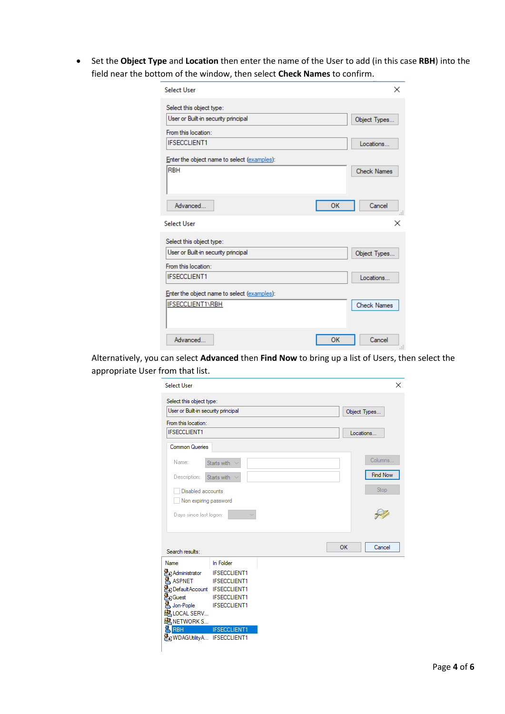• Set the **Object Type** and **Location** then enter the name of the User to add (in this case **RBH**) into the field near the bottom of the window, then select **Check Names** to confirm.

| Select User                                 | ×                  |
|---------------------------------------------|--------------------|
| Select this object type:                    |                    |
| User or Built-in security principal         | Object Types       |
| From this location:                         |                    |
| <b>IFSECCLIENT1</b>                         | Locations          |
| Enter the object name to select (examples): |                    |
| <b>RBH</b>                                  | <b>Check Names</b> |
|                                             |                    |
|                                             |                    |
| Advanced<br>OK                              | Cancel<br>Æ        |
|                                             |                    |
| <b>Select User</b>                          | ×                  |
| Select this object type:                    |                    |
| User or Built-in security principal         | Object Types       |
| From this location:                         |                    |
| <b>IFSECCLIENT1</b>                         | Locations          |
| Enter the object name to select (examples): |                    |
| <b>IFSECCLIENT1\RBH</b>                     | <b>Check Names</b> |
|                                             |                    |
|                                             |                    |

Alternatively, you can select **Advanced** then **Find Now** to bring up a list of Users, then select the appropriate User from that list.

| <b>Select User</b>                                              |                       |    |                 |
|-----------------------------------------------------------------|-----------------------|----|-----------------|
| Select this object type:<br>User or Built-in security principal |                       |    | Object Types    |
| From this location:                                             |                       |    |                 |
| <b>IFSECCLIENT1</b>                                             |                       |    | Locations       |
| <b>Common Queries</b>                                           |                       |    |                 |
|                                                                 |                       |    |                 |
| Name:                                                           | Starts with<br>$\sim$ |    | Columns         |
| Description:                                                    | Starts with           |    | <b>Find Now</b> |
| Disabled accounts                                               |                       |    | Stop            |
| Non expiring password                                           |                       |    |                 |
| Days since last logon:                                          |                       |    |                 |
|                                                                 |                       |    |                 |
|                                                                 |                       |    |                 |
|                                                                 |                       | OK | Cancel          |
| Search results:                                                 |                       |    |                 |
|                                                                 | In Folder             |    |                 |
| Name<br>Administrator                                           | <b>IFSECCLIENT1</b>   |    |                 |
| <b>A</b> ASPNET                                                 | <b>IFSECCLIENT1</b>   |    |                 |
|                                                                 |                       |    |                 |
| DefaultAccount IFSECCLIENT1<br><b>D</b> Guest                   | <b>IFSECCLIENT1</b>   |    |                 |
| Jon-Pople IFSECCLIENT1<br>RELOCAL SERV                          |                       |    |                 |
| EAR NETWORK S                                                   |                       |    |                 |
| <b>RBH</b>                                                      | <b>IFSECCLIENT1</b>   |    |                 |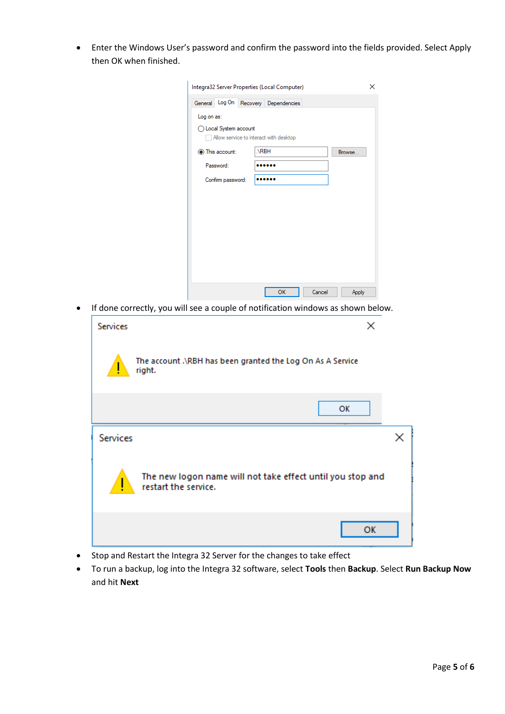• Enter the Windows User's password and confirm the password into the fields provided. Select Apply then OK when finished.

|            |                        | Integra32 Server Properties (Local Computer) |        | ×      |
|------------|------------------------|----------------------------------------------|--------|--------|
|            |                        | General Log On Recovery Dependencies         |        |        |
| Log on as: |                        |                                              |        |        |
|            | ◯ Local System account |                                              |        |        |
|            |                        | Allow service to interact with desktop       |        |        |
|            | This account:          | NRBH                                         |        | Browse |
|            | Password:              |                                              |        |        |
|            | Confirm password:      |                                              |        |        |
|            |                        |                                              |        |        |
|            |                        |                                              |        |        |
|            |                        |                                              |        |        |
|            |                        |                                              |        |        |
|            |                        |                                              |        |        |
|            |                        |                                              |        |        |
|            |                        |                                              |        |        |
|            |                        |                                              |        |        |
|            |                        |                                              |        |        |
|            |                        |                                              |        |        |
|            |                        | OK                                           | Cancel | Apply  |

• If done correctly, you will see a couple of notification windows as shown below.

| <b>Services</b> | ×                                                                                  |  |
|-----------------|------------------------------------------------------------------------------------|--|
|                 | The account .\RBH has been granted the Log On As A Service<br>right.               |  |
|                 | ОΚ                                                                                 |  |
| Services        |                                                                                    |  |
|                 | The new logon name will not take effect until you stop and<br>restart the service. |  |
|                 | ОК                                                                                 |  |

- Stop and Restart the Integra 32 Server for the changes to take effect
- To run a backup, log into the Integra 32 software, select **Tools** then **Backup**. Select **Run Backup Now** and hit **Next**